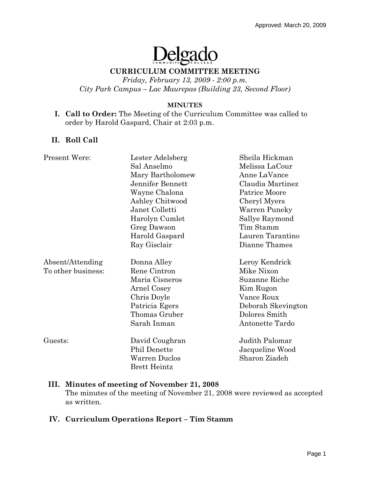# Delgado

#### **CURRICULUM COMMITTEE MEETING**

*Friday, February 13, 2009 - 2:00 p.m. City Park Campus – Lac Maurepas (Building 23, Second Floor)* 

#### **MINUTES**

#### **I. Call to Order:** The Meeting of the Curriculum Committee was called to order by Harold Gaspard, Chair at 2:03 p.m.

## **II. Roll Call**

| <b>Present Were:</b> | Lester Adelsberg    | Sheila Hickman     |
|----------------------|---------------------|--------------------|
|                      | Sal Anselmo         | Melissa LaCour     |
|                      | Mary Bartholomew    | Anne LaVance       |
|                      | Jennifer Bennett    | Claudia Martinez   |
|                      | Wayne Chalona       | Patrice Moore      |
|                      | Ashley Chitwood     | Cheryl Myers       |
|                      | Janet Colletti      | Warren Puneky      |
|                      | Harolyn Cumlet      | Sallye Raymond     |
|                      | Greg Dawson         | Tim Stamm          |
|                      | Harold Gaspard      | Lauren Tarantino   |
|                      | Ray Gisclair        | Dianne Thames      |
| Absent/Attending     | Donna Alley         | Leroy Kendrick     |
| To other business:   | Rene Cintron        | Mike Nixon         |
|                      | Maria Cisneros      | Suzanne Riche      |
|                      | Arnel Cosey         | Kim Rugon          |
|                      | Chris Doyle         | Vance Roux         |
|                      | Patricia Egers      | Deborah Skevington |
|                      | Thomas Gruber       | Dolores Smith      |
|                      | Sarah Inman         | Antonette Tardo    |
| Guests:              | David Coughran      | Judith Palomar     |
|                      | Phil Denette        | Jacqueline Wood    |
|                      | Warren Duclos       | Sharon Ziadeh      |
|                      | <b>Brett Heintz</b> |                    |

#### **III. Minutes of meeting of November 21, 2008**

The minutes of the meeting of November 21, 2008 were reviewed as accepted as written.

#### **IV. Curriculum Operations Report – Tim Stamm**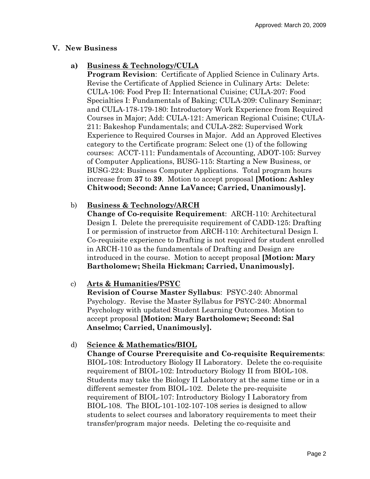#### **V. New Business**

## **a) Business & Technology/CULA**

**Program Revision**: Certificate of Applied Science in Culinary Arts. Revise the Certificate of Applied Science in Culinary Arts: Delete: CULA-106: Food Prep II: International Cuisine; CULA-207: Food Specialties I: Fundamentals of Baking; CULA-209: Culinary Seminar; and CULA-178-179-180: Introductory Work Experience from Required Courses in Major; Add: CULA-121: American Regional Cuisine; CULA-211: Bakeshop Fundamentals; and CULA-282: Supervised Work Experience to Required Courses in Major. Add an Approved Electives category to the Certificate program: Select one (1) of the following courses: ACCT-111: Fundamentals of Accounting, ADOT-105: Survey of Computer Applications, BUSG-115: Starting a New Business, or BUSG-224: Business Computer Applications. Total program hours increase from **37** to **39**. Motion to accept proposal **[Motion: Ashley Chitwood; Second: Anne LaVance; Carried, Unanimously].** 

## b) **Business & Technology/ARCH**

**Change of Co-requisite Requirement**: ARCH-110: Architectural Design I. Delete the prerequisite requirement of CADD-125: Drafting I or permission of instructor from ARCH-110: Architectural Design I. Co-requisite experience to Drafting is not required for student enrolled in ARCH-110 as the fundamentals of Drafting and Design are introduced in the course.Motion to accept proposal **[Motion: Mary Bartholomew; Sheila Hickman; Carried, Unanimously].** 

# c) **Arts & Humanities/PSYC**

**Revision of Course Master Syllabus**: PSYC-240: Abnormal Psychology. Revise the Master Syllabus for PSYC-240: Abnormal Psychology with updated Student Learning Outcomes. Motion to accept proposal **[Motion: Mary Bartholomew; Second: Sal Anselmo; Carried, Unanimously].**

# d) **Science & Mathematics/BIOL**

**Change of Course Prerequisite and Co-requisite Requirements**: BIOL-108: Introductory Biology II Laboratory. Delete the co-requisite requirement of BIOL-102: Introductory Biology II from BIOL-108. Students may take the Biology II Laboratory at the same time or in a different semester from BIOL-102. Delete the pre-requisite requirement of BIOL-107: Introductory Biology I Laboratory from BIOL-108. The BIOL-101-102-107-108 series is designed to allow students to select courses and laboratory requirements to meet their transfer/program major needs. Deleting the co-requisite and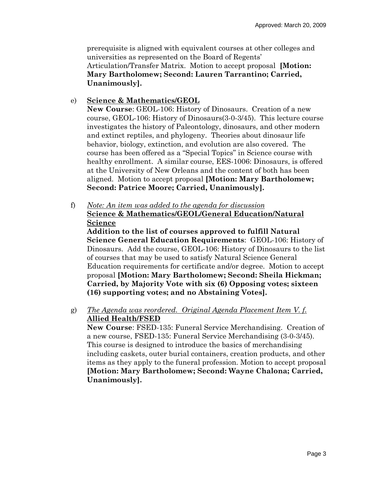prerequisite is aligned with equivalent courses at other colleges and universities as represented on the Board of Regents' Articulation/Transfer Matrix. Motion to accept proposal **[Motion: Mary Bartholomew; Second: Lauren Tarrantino; Carried, Unanimously].**

## e) **Science & Mathematics/GEOL**

**New Course**: GEOL-106: History of Dinosaurs. Creation of a new course, GEOL-106: History of Dinosaurs(3-0-3/45). This lecture course investigates the history of Paleontology, dinosaurs, and other modern and extinct reptiles, and phylogeny. Theories about dinosaur life behavior, biology, extinction, and evolution are also covered. The course has been offered as a "Special Topics" in Science course with healthy enrollment. A similar course, EES-1006: Dinosaurs, is offered at the University of New Orleans and the content of both has been aligned. Motion to accept proposal **[Motion: Mary Bartholomew; Second: Patrice Moore; Carried, Unanimously].**

f) *Note: An item was added to the agenda for discussion* **Science & Mathematics/GEOL/General Education/Natural Science**

**Addition to the list of courses approved to fulfill Natural Science General Education Requirements**: GEOL-106: History of Dinosaurs. Add the course, GEOL-106: History of Dinosaurs to the list of courses that may be used to satisfy Natural Science General Education requirements for certificate and/or degree. Motion to accept proposal **[Motion: Mary Bartholomew; Second: Sheila Hickman; Carried, by Majority Vote with six (6) Opposing votes; sixteen (16) supporting votes; and no Abstaining Votes].** 

g) *The Agenda was reordered. Original Agenda Placement Item V. f.* **Allied Health/FSED**

**New Course**: FSED-135: Funeral Service Merchandising. Creation of a new course, FSED-135: Funeral Service Merchandising (3-0-3/45). This course is designed to introduce the basics of merchandising including caskets, outer burial containers, creation products, and other items as they apply to the funeral profession. Motion to accept proposal **[Motion: Mary Bartholomew; Second: Wayne Chalona; Carried, Unanimously].**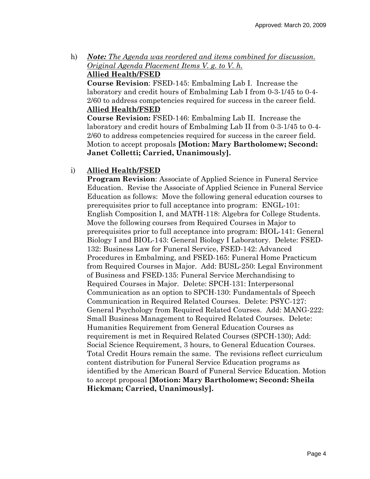h) *Note: The Agenda was reordered and items combined for discussion. Original Agenda Placement Items V. g. to V. h.* **Allied Health/FSED**

**Course Revision**: FSED-145: Embalming Lab I. Increase the laboratory and credit hours of Embalming Lab I from 0-3-1/45 to 0-4- 2/60 to address competencies required for success in the career field. **Allied Health/FSED**

**Course Revision:** FSED-146: Embalming Lab II. Increase the laboratory and credit hours of Embalming Lab II from 0-3-1/45 to 0-4- 2/60 to address competencies required for success in the career field. Motion to accept proposals **[Motion: Mary Bartholomew; Second: Janet Colletti; Carried, Unanimously].**

## i) **Allied Health/FSED**

**Program Revision**: Associate of Applied Science in Funeral Service Education. Revise the Associate of Applied Science in Funeral Service Education as follows: Move the following general education courses to prerequisites prior to full acceptance into program: ENGL-101: English Composition I, and MATH-118: Algebra for College Students. Move the following courses from Required Courses in Major to prerequisites prior to full acceptance into program: BIOL-141: General Biology I and BIOL-143: General Biology I Laboratory. Delete: FSED-132: Business Law for Funeral Service, FSED-142: Advanced Procedures in Embalming, and FSED-165: Funeral Home Practicum from Required Courses in Major. Add: BUSL-250: Legal Environment of Business and FSED-135: Funeral Service Merchandising to Required Courses in Major. Delete: SPCH-131: Interpersonal Communication as an option to SPCH-130: Fundamentals of Speech Communication in Required Related Courses. Delete: PSYC-127: General Psychology from Required Related Courses. Add: MANG-222: Small Business Management to Required Related Courses. Delete: Humanities Requirement from General Education Courses as requirement is met in Required Related Courses (SPCH-130); Add: Social Science Requirement, 3 hours, to General Education Courses. Total Credit Hours remain the same. The revisions reflect curriculum content distribution for Funeral Service Education programs as identified by the American Board of Funeral Service Education. Motion to accept proposal **[Motion: Mary Bartholomew; Second: Sheila Hickman; Carried, Unanimously].**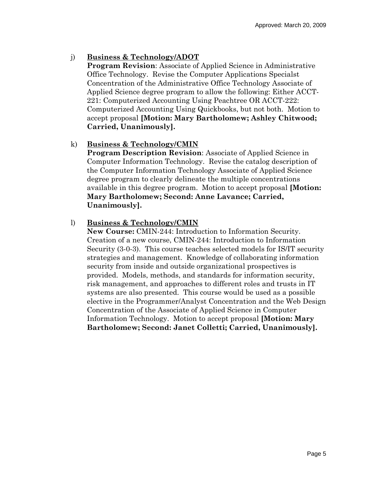# j) **Business & Technology/ADOT**

**Program Revision**: Associate of Applied Science in Administrative Office Technology. Revise the Computer Applications Specialst Concentration of the Administrative Office Technology Associate of Applied Science degree program to allow the following: Either ACCT-221: Computerized Accounting Using Peachtree OR ACCT-222: Computerized Accounting Using Quickbooks, but not both. Motion to accept proposal **[Motion: Mary Bartholomew; Ashley Chitwood; Carried, Unanimously].** 

## k) **Business & Technology/CMIN**

**Program Description Revision**: Associate of Applied Science in Computer Information Technology. Revise the catalog description of the Computer Information Technology Associate of Applied Science degree program to clearly delineate the multiple concentrations available in this degree program. Motion to accept proposal **[Motion: Mary Bartholomew; Second: Anne Lavance; Carried, Unanimously].**

## l) **Business & Technology/CMIN**

**New Course:** CMIN-244: Introduction to Information Security. Creation of a new course, CMIN-244: Introduction to Information Security (3-0-3). This course teaches selected models for IS/IT security strategies and management. Knowledge of collaborating information security from inside and outside organizational prospectives is provided. Models, methods, and standards for information security, risk management, and approaches to different roles and trusts in IT systems are also presented. This course would be used as a possible elective in the Programmer/Analyst Concentration and the Web Design Concentration of the Associate of Applied Science in Computer Information Technology. Motion to accept proposal **[Motion: Mary Bartholomew; Second: Janet Colletti; Carried, Unanimously].**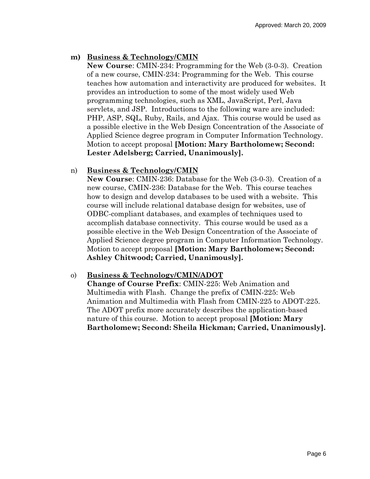## **m) Business & Technology/CMIN**

**New Course**: CMIN-234: Programming for the Web (3-0-3). Creation of a new course, CMIN-234: Programming for the Web. This course teaches how automation and interactivity are produced for websites. It provides an introduction to some of the most widely used Web programming technologies, such as XML, JavaScript, Perl, Java servlets, and JSP. Introductions to the following ware are included: PHP, ASP, SQL, Ruby, Rails, and Ajax. This course would be used as a possible elective in the Web Design Concentration of the Associate of Applied Science degree program in Computer Information Technology. Motion to accept proposal **[Motion: Mary Bartholomew; Second: Lester Adelsberg; Carried, Unanimously].** 

#### n) **Business & Technology/CMIN**

**New Course**: CMIN-236: Database for the Web (3-0-3). Creation of a new course, CMIN-236: Database for the Web. This course teaches how to design and develop databases to be used with a website. This course will include relational database design for websites, use of ODBC-compliant databases, and examples of techniques used to accomplish database connectivity. This course would be used as a possible elective in the Web Design Concentration of the Associate of Applied Science degree program in Computer Information Technology. Motion to accept proposal **[Motion: Mary Bartholomew; Second: Ashley Chitwood; Carried, Unanimously].**

#### o) **Business & Technology/CMIN/ADOT**

**Change of Course Prefix**: CMIN-225: Web Animation and Multimedia with Flash. Change the prefix of CMIN-225: Web Animation and Multimedia with Flash from CMIN-225 to ADOT-225. The ADOT prefix more accurately describes the application-based nature of this course. Motion to accept proposal **[Motion: Mary Bartholomew; Second: Sheila Hickman; Carried, Unanimously].**